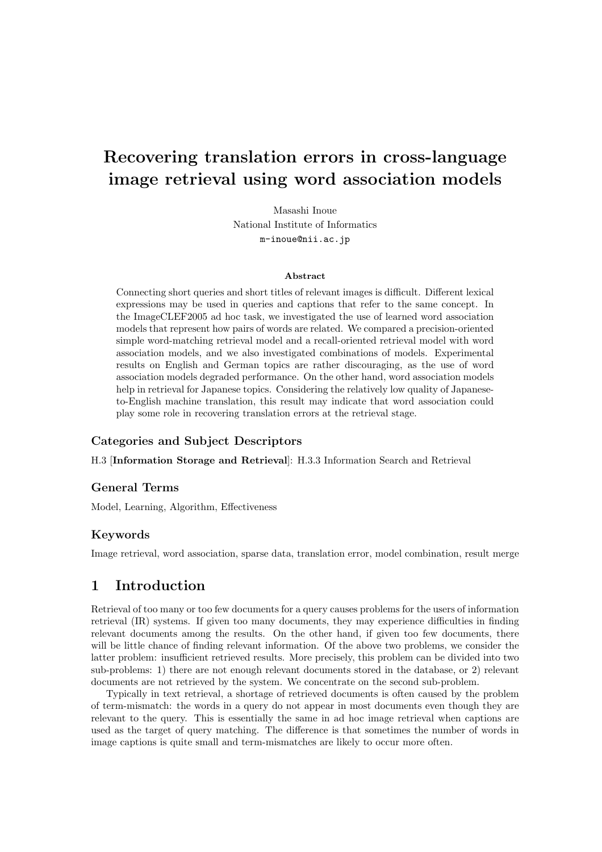# **Recovering translation errors in cross-language image retrieval using word association models**

Masashi Inoue National Institute of Informatics m-inoue@nii.ac.jp

#### **Abstract**

Connecting short queries and short titles of relevant images is difficult. Different lexical expressions may be used in queries and captions that refer to the same concept. In the ImageCLEF2005 ad hoc task, we investigated the use of learned word association models that represent how pairs of words are related. We compared a precision-oriented simple word-matching retrieval model and a recall-oriented retrieval model with word association models, and we also investigated combinations of models. Experimental results on English and German topics are rather discouraging, as the use of word association models degraded performance. On the other hand, word association models help in retrieval for Japanese topics. Considering the relatively low quality of Japaneseto-English machine translation, this result may indicate that word association could play some role in recovering translation errors at the retrieval stage.

#### **Categories and Subject Descriptors**

H.3 [**Information Storage and Retrieval**]: H.3.3 Information Search and Retrieval

#### **General Terms**

Model, Learning, Algorithm, Effectiveness

#### **Keywords**

Image retrieval, word association, sparse data, translation error, model combination, result merge

### **1 Introduction**

Retrieval of too many or too few documents for a query causes problems for the users of information retrieval (IR) systems. If given too many documents, they may experience difficulties in finding relevant documents among the results. On the other hand, if given too few documents, there will be little chance of finding relevant information. Of the above two problems, we consider the latter problem: insufficient retrieved results. More precisely, this problem can be divided into two sub-problems: 1) there are not enough relevant documents stored in the database, or 2) relevant documents are not retrieved by the system. We concentrate on the second sub-problem.

Typically in text retrieval, a shortage of retrieved documents is often caused by the problem of term-mismatch: the words in a query do not appear in most documents even though they are relevant to the query. This is essentially the same in ad hoc image retrieval when captions are used as the target of query matching. The difference is that sometimes the number of words in image captions is quite small and term-mismatches are likely to occur more often.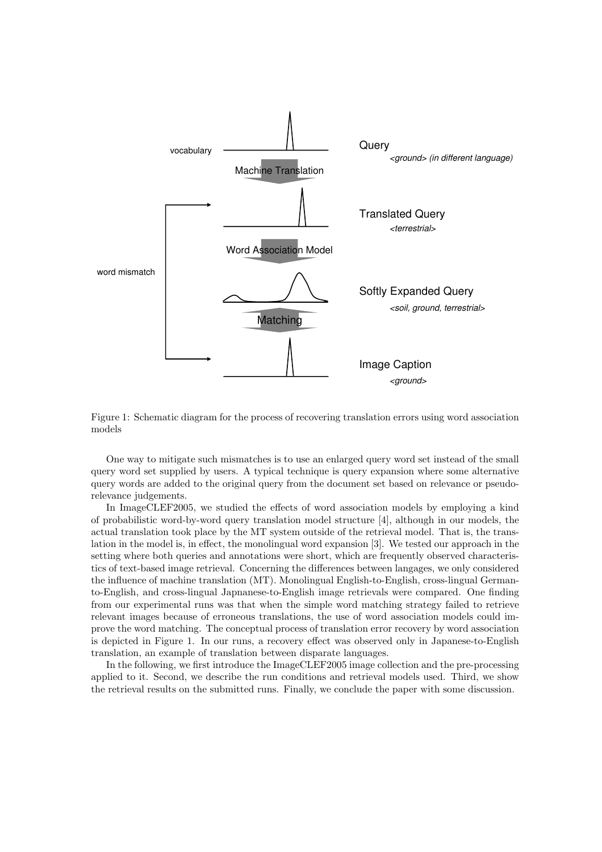



One way to mitigate such mismatches is to use an enlarged query word set instead of the small query word set supplied by users. A typical technique is query expansion where some alternative query words are added to the original query from the document set based on relevance or pseudorelevance judgements.

In ImageCLEF2005, we studied the effects of word association models by employing a kind of probabilistic word-by-word query translation model structure [4], although in our models, the actual translation took place by the MT system outside of the retrieval model. That is, the translation in the model is, in effect, the monolingual word expansion [3]. We tested our approach in the setting where both queries and annotations were short, which are frequently observed characteristics of text-based image retrieval. Concerning the differences between langages, we only considered the influence of machine translation (MT). Monolingual English-to-English, cross-lingual Germanto-English, and cross-lingual Japnanese-to-English image retrievals were compared. One finding from our experimental runs was that when the simple word matching strategy failed to retrieve relevant images because of erroneous translations, the use of word association models could improve the word matching. The conceptual process of translation error recovery by word association is depicted in Figure 1. In our runs, a recovery effect was observed only in Japanese-to-English translation, an example of translation between disparate languages.

In the following, we first introduce the ImageCLEF2005 image collection and the pre-processing applied to it. Second, we describe the run conditions and retrieval models used. Third, we show the retrieval results on the submitted runs. Finally, we conclude the paper with some discussion.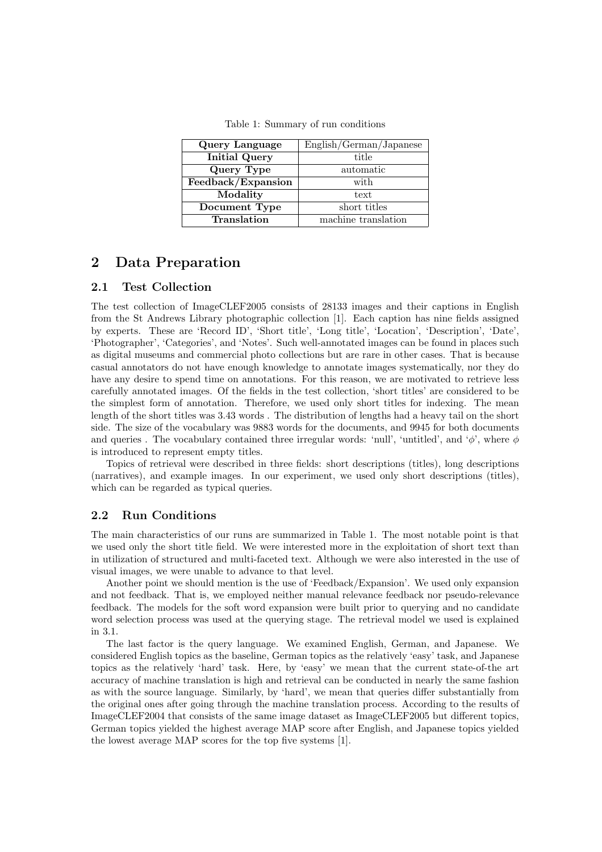| Query Language       | English/German/Japanese |  |  |
|----------------------|-------------------------|--|--|
| <b>Initial Query</b> | title                   |  |  |
| Query Type           | automatic               |  |  |
| Feedback/Expansion   | with                    |  |  |
| Modality             | text                    |  |  |
| Document Type        | short titles            |  |  |
| Translation          | machine translation     |  |  |

Table 1: Summary of run conditions

# **2 Data Preparation**

#### **2.1 Test Collection**

The test collection of ImageCLEF2005 consists of 28133 images and their captions in English from the St Andrews Library photographic collection [1]. Each caption has nine fields assigned by experts. These are 'Record ID', 'Short title', 'Long title', 'Location', 'Description', 'Date', 'Photographer', 'Categories', and 'Notes'. Such well-annotated images can be found in places such as digital museums and commercial photo collections but are rare in other cases. That is because casual annotators do not have enough knowledge to annotate images systematically, nor they do have any desire to spend time on annotations. For this reason, we are motivated to retrieve less carefully annotated images. Of the fields in the test collection, 'short titles' are considered to be the simplest form of annotation. Therefore, we used only short titles for indexing. The mean length of the short titles was 3*.*43 words . The distribution of lengths had a heavy tail on the short side. The size of the vocabulary was 9883 words for the documents, and 9945 for both documents and queries . The vocabulary contained three irregular words: 'null', 'untitled', and '*φ*', where *φ* is introduced to represent empty titles.

Topics of retrieval were described in three fields: short descriptions (titles), long descriptions (narratives), and example images. In our experiment, we used only short descriptions (titles), which can be regarded as typical queries.

### **2.2 Run Conditions**

The main characteristics of our runs are summarized in Table 1. The most notable point is that we used only the short title field. We were interested more in the exploitation of short text than in utilization of structured and multi-faceted text. Although we were also interested in the use of visual images, we were unable to advance to that level.

Another point we should mention is the use of 'Feedback/Expansion'. We used only expansion and not feedback. That is, we employed neither manual relevance feedback nor pseudo-relevance feedback. The models for the soft word expansion were built prior to querying and no candidate word selection process was used at the querying stage. The retrieval model we used is explained in 3.1.

The last factor is the query language. We examined English, German, and Japanese. We considered English topics as the baseline, German topics as the relatively 'easy' task, and Japanese topics as the relatively 'hard' task. Here, by 'easy' we mean that the current state-of-the art accuracy of machine translation is high and retrieval can be conducted in nearly the same fashion as with the source language. Similarly, by 'hard', we mean that queries differ substantially from the original ones after going through the machine translation process. According to the results of ImageCLEF2004 that consists of the same image dataset as ImageCLEF2005 but different topics, German topics yielded the highest average MAP score after English, and Japanese topics yielded the lowest average MAP scores for the top five systems [1].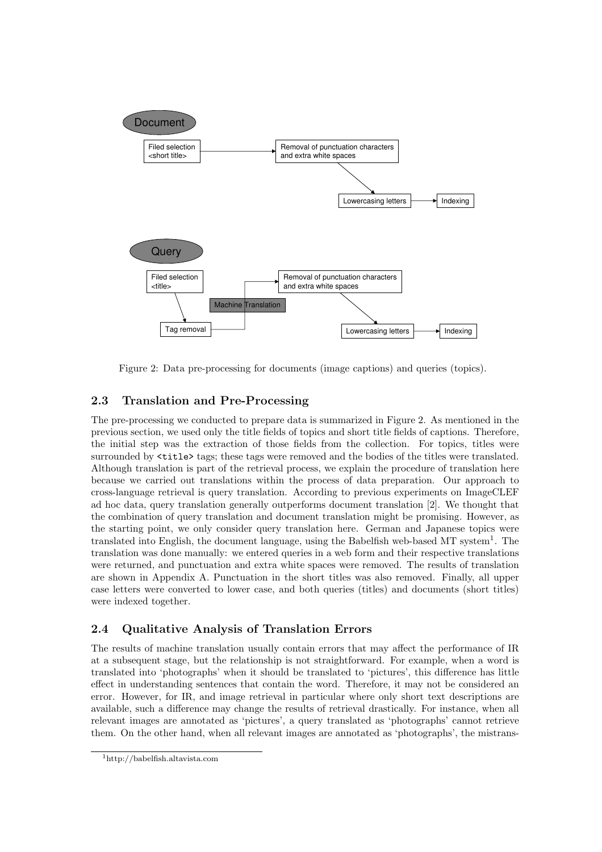

Figure 2: Data pre-processing for documents (image captions) and queries (topics).

# **2.3 Translation and Pre-Processing**

The pre-processing we conducted to prepare data is summarized in Figure 2. As mentioned in the previous section, we used only the title fields of topics and short title fields of captions. Therefore, the initial step was the extraction of those fields from the collection. For topics, titles were surrounded by  $\tt{title>}$  tags; these tags were removed and the bodies of the titles were translated. Although translation is part of the retrieval process, we explain the procedure of translation here because we carried out translations within the process of data preparation. Our approach to cross-language retrieval is query translation. According to previous experiments on ImageCLEF ad hoc data, query translation generally outperforms document translation [2]. We thought that the combination of query translation and document translation might be promising. However, as the starting point, we only consider query translation here. German and Japanese topics were translated into English, the document language, using the Babelfish web-based MT system<sup>1</sup>. The translation was done manually: we entered queries in a web form and their respective translations were returned, and punctuation and extra white spaces were removed. The results of translation are shown in Appendix A. Punctuation in the short titles was also removed. Finally, all upper case letters were converted to lower case, and both queries (titles) and documents (short titles) were indexed together.

### **2.4 Qualitative Analysis of Translation Errors**

The results of machine translation usually contain errors that may affect the performance of IR at a subsequent stage, but the relationship is not straightforward. For example, when a word is translated into 'photographs' when it should be translated to 'pictures', this difference has little effect in understanding sentences that contain the word. Therefore, it may not be considered an error. However, for IR, and image retrieval in particular where only short text descriptions are available, such a difference may change the results of retrieval drastically. For instance, when all relevant images are annotated as 'pictures', a query translated as 'photographs' cannot retrieve them. On the other hand, when all relevant images are annotated as 'photographs', the mistrans-

<sup>1</sup>http://babelfish.altavista.com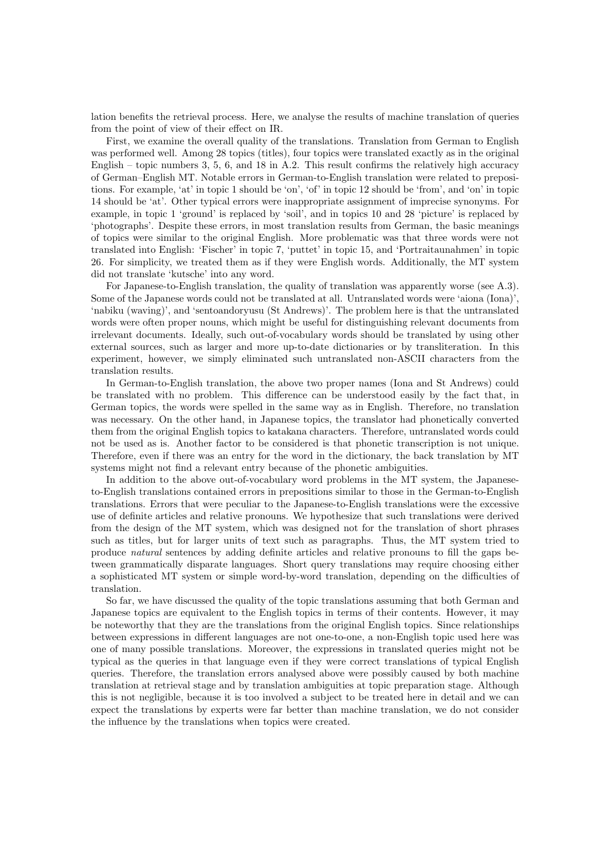lation benefits the retrieval process. Here, we analyse the results of machine translation of queries from the point of view of their effect on IR.

First, we examine the overall quality of the translations. Translation from German to English was performed well. Among 28 topics (titles), four topics were translated exactly as in the original English – topic numbers 3, 5, 6, and 18 in A.2. This result confirms the relatively high accuracy of German–English MT. Notable errors in German-to-English translation were related to prepositions. For example, 'at' in topic 1 should be 'on', 'of' in topic 12 should be 'from', and 'on' in topic 14 should be 'at'. Other typical errors were inappropriate assignment of imprecise synonyms. For example, in topic 1 'ground' is replaced by 'soil', and in topics 10 and 28 'picture' is replaced by 'photographs'. Despite these errors, in most translation results from German, the basic meanings of topics were similar to the original English. More problematic was that three words were not translated into English: 'Fischer' in topic 7, 'puttet' in topic 15, and 'Portraitaunahmen' in topic 26. For simplicity, we treated them as if they were English words. Additionally, the MT system did not translate 'kutsche' into any word.

For Japanese-to-English translation, the quality of translation was apparently worse (see A.3). Some of the Japanese words could not be translated at all. Untranslated words were 'aiona (Iona)', 'nabiku (waving)', and 'sentoandoryusu (St Andrews)'. The problem here is that the untranslated words were often proper nouns, which might be useful for distinguishing relevant documents from irrelevant documents. Ideally, such out-of-vocabulary words should be translated by using other external sources, such as larger and more up-to-date dictionaries or by transliteration. In this experiment, however, we simply eliminated such untranslated non-ASCII characters from the translation results.

In German-to-English translation, the above two proper names (Iona and St Andrews) could be translated with no problem. This difference can be understood easily by the fact that, in German topics, the words were spelled in the same way as in English. Therefore, no translation was necessary. On the other hand, in Japanese topics, the translator had phonetically converted them from the original English topics to katakana characters. Therefore, untranslated words could not be used as is. Another factor to be considered is that phonetic transcription is not unique. Therefore, even if there was an entry for the word in the dictionary, the back translation by MT systems might not find a relevant entry because of the phonetic ambiguities.

In addition to the above out-of-vocabulary word problems in the MT system, the Japaneseto-English translations contained errors in prepositions similar to those in the German-to-English translations. Errors that were peculiar to the Japanese-to-English translations were the excessive use of definite articles and relative pronouns. We hypothesize that such translations were derived from the design of the MT system, which was designed not for the translation of short phrases such as titles, but for larger units of text such as paragraphs. Thus, the MT system tried to produce *natural* sentences by adding definite articles and relative pronouns to fill the gaps between grammatically disparate languages. Short query translations may require choosing either a sophisticated MT system or simple word-by-word translation, depending on the difficulties of translation.

So far, we have discussed the quality of the topic translations assuming that both German and Japanese topics are equivalent to the English topics in terms of their contents. However, it may be noteworthy that they are the translations from the original English topics. Since relationships between expressions in different languages are not one-to-one, a non-English topic used here was one of many possible translations. Moreover, the expressions in translated queries might not be typical as the queries in that language even if they were correct translations of typical English queries. Therefore, the translation errors analysed above were possibly caused by both machine translation at retrieval stage and by translation ambiguities at topic preparation stage. Although this is not negligible, because it is too involved a subject to be treated here in detail and we can expect the translations by experts were far better than machine translation, we do not consider the influence by the translations when topics were created.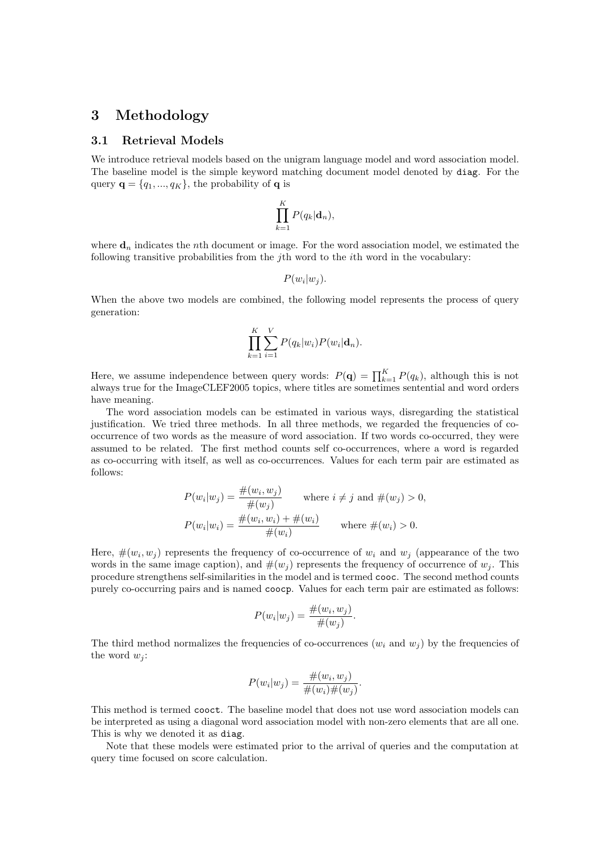### **3 Methodology**

#### **3.1 Retrieval Models**

We introduce retrieval models based on the unigram language model and word association model. The baseline model is the simple keyword matching document model denoted by diag. For the query  $\mathbf{q} = \{q_1, ..., q_K\}$ , the probability of **q** is

$$
\prod_{k=1}^K P(q_k | \mathbf{d}_n),
$$

where  $\mathbf{d}_n$  indicates the *n*th document or image. For the word association model, we estimated the following transitive probabilities from the *j*th word to the *i*th word in the vocabulary:

$$
P(w_i|w_j).
$$

When the above two models are combined, the following model represents the process of query generation:

$$
\prod_{k=1}^K \sum_{i=1}^V P(q_k|w_i) P(w_i|\mathbf{d}_n).
$$

Here, we assume independence between query words:  $P(\mathbf{q}) = \prod_{k=1}^{K} P(q_k)$ , although this is not always true for the ImageCLEF2005 topics, where titles are sometimes sentential and word orders have meaning.

The word association models can be estimated in various ways, disregarding the statistical justification. We tried three methods. In all three methods, we regarded the frequencies of cooccurrence of two words as the measure of word association. If two words co-occurred, they were assumed to be related. The first method counts self co-occurrences, where a word is regarded as co-occurring with itself, as well as co-occurrences. Values for each term pair are estimated as follows:

$$
P(w_i|w_j) = \frac{\#(w_i, w_j)}{\#(w_j)} \quad \text{where } i \neq j \text{ and } \#(w_j) > 0,
$$
  

$$
P(w_i|w_i) = \frac{\#(w_i, w_i) + \#(w_i)}{\#(w_i)} \quad \text{where } \#(w_i) > 0.
$$

Here,  $\#(w_i, w_j)$  represents the frequency of co-occurrence of  $w_i$  and  $w_j$  (appearance of the two words in the same image caption), and  $\#(w_j)$  represents the frequency of occurrence of  $w_j$ . This procedure strengthens self-similarities in the model and is termed cooc. The second method counts purely co-occurring pairs and is named coocp. Values for each term pair are estimated as follows:

$$
P(w_i|w_j) = \frac{\#(w_i, w_j)}{\#(w_j)}.
$$

The third method normalizes the frequencies of co-occurrences  $(w_i \text{ and } w_j)$  by the frequencies of the word  $w_j$ :

$$
P(w_i|w_j) = \frac{\#(w_i, w_j)}{\#(w_i)\#(w_j)}.
$$

This method is termed cooct. The baseline model that does not use word association models can be interpreted as using a diagonal word association model with non-zero elements that are all one. This is why we denoted it as diag.

Note that these models were estimated prior to the arrival of queries and the computation at query time focused on score calculation.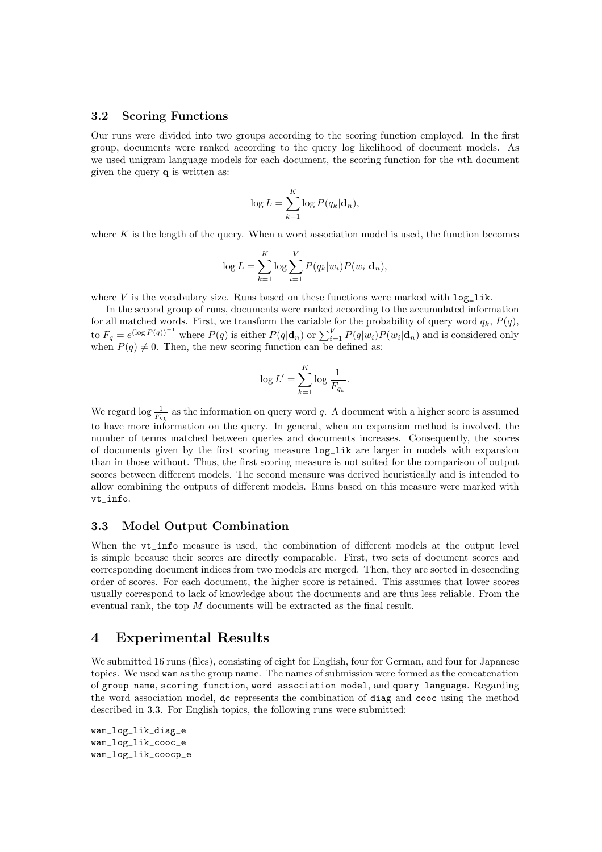#### **3.2 Scoring Functions**

Our runs were divided into two groups according to the scoring function employed. In the first group, documents were ranked according to the query–log likelihood of document models. As we used unigram language models for each document, the scoring function for the *n*th document given the query **q** is written as:

$$
\log L = \sum_{k=1}^{K} \log P(q_k | \mathbf{d}_n),
$$

where  $K$  is the length of the query. When a word association model is used, the function becomes

$$
\log L = \sum_{k=1}^{K} \log \sum_{i=1}^{V} P(q_k|w_i) P(w_i|\mathbf{d}_n),
$$

where  $V$  is the vocabulary size. Runs based on these functions were marked with  $log\_lik$ .

In the second group of runs, documents were ranked according to the accumulated information for all matched words. First, we transform the variable for the probability of query word  $q_k$ ,  $P(q)$ , to  $F_q = e^{(\log P(q))^{-1}}$  where  $P(q)$  is either  $P(q|\mathbf{d}_n)$  or  $\sum_{i=1}^{V} P(q|w_i)P(w_i|\mathbf{d}_n)$  and is considered only when  $P(q) \neq 0$ . Then, the new scoring function can be defined as:

$$
\log L' = \sum_{k=1}^{K} \log \frac{1}{F_{q_k}}.
$$

We regard  $\log \frac{1}{F_{q_k}}$  as the information on query word *q*. A document with a higher score is assumed to have more information on the query. In general, when an expansion method is involved, the number of terms matched between queries and documents increases. Consequently, the scores of documents given by the first scoring measure log\_lik are larger in models with expansion than in those without. Thus, the first scoring measure is not suited for the comparison of output scores between different models. The second measure was derived heuristically and is intended to allow combining the outputs of different models. Runs based on this measure were marked with vt\_info.

#### **3.3 Model Output Combination**

When the vt info measure is used, the combination of different models at the output level is simple because their scores are directly comparable. First, two sets of document scores and corresponding document indices from two models are merged. Then, they are sorted in descending order of scores. For each document, the higher score is retained. This assumes that lower scores usually correspond to lack of knowledge about the documents and are thus less reliable. From the eventual rank, the top *M* documents will be extracted as the final result.

### **4 Experimental Results**

We submitted 16 runs (files), consisting of eight for English, four for German, and four for Japanese topics. We used wam as the group name. The names of submission were formed as the concatenation of group name, scoring function, word association model, and query language. Regarding the word association model, dc represents the combination of diag and cooc using the method described in 3.3. For English topics, the following runs were submitted:

```
wam_log_lik_diag_e
wam_log_lik_cooc_e
wam_log_lik_coocp_e
```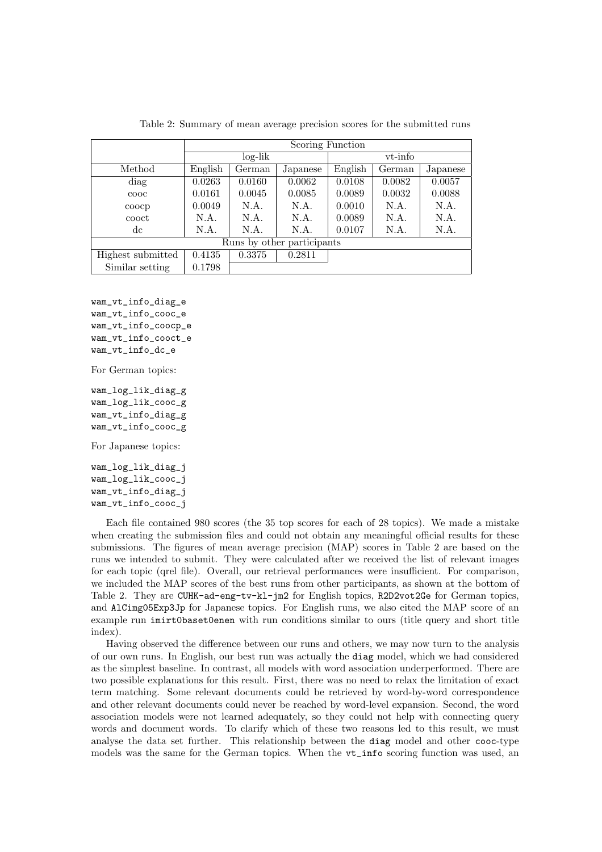|                            | Scoring Function |        |          |         |        |          |  |  |
|----------------------------|------------------|--------|----------|---------|--------|----------|--|--|
|                            | $log-lik$        |        |          | vt-info |        |          |  |  |
| Method                     | English          | German | Japanese | English | German | Japanese |  |  |
| diag                       | 0.0263           | 0.0160 | 0.0062   | 0.0108  | 0.0082 | 0.0057   |  |  |
| $\rm{cooc}$                | 0.0161           | 0.0045 | 0.0085   | 0.0089  | 0.0032 | 0.0088   |  |  |
| coocp                      | 0.0049           | N.A.   | N.A.     | 0.0010  | N.A.   | N.A.     |  |  |
| cooct                      | N.A.             | N.A.   | N.A.     | 0.0089  | N.A.   | N.A.     |  |  |
| dc                         | N.A.             | N.A.   | N.A.     | 0.0107  | N.A.   | N.A.     |  |  |
| Runs by other participants |                  |        |          |         |        |          |  |  |
| Highest submitted          | 0.4135           | 0.3375 | 0.2811   |         |        |          |  |  |
| Similar setting            | 0.1798           |        |          |         |        |          |  |  |

Table 2: Summary of mean average precision scores for the submitted runs

wam\_vt\_info\_diag\_e wam\_vt\_info\_cooc\_e wam\_vt\_info\_coocp\_e wam\_vt\_info\_cooct\_e wam vt info dc e

For German topics:

wam\_log\_lik\_diag\_g wam\_log\_lik\_cooc\_g wam\_vt\_info\_diag\_g wam\_vt\_info\_cooc\_g

For Japanese topics:

wam\_log\_lik\_diag\_j wam\_log\_lik\_cooc\_j wam\_vt\_info\_diag\_j wam\_vt\_info\_cooc\_j

Each file contained 980 scores (the 35 top scores for each of 28 topics). We made a mistake when creating the submission files and could not obtain any meaningful official results for these submissions. The figures of mean average precision (MAP) scores in Table 2 are based on the runs we intended to submit. They were calculated after we received the list of relevant images for each topic (qrel file). Overall, our retrieval performances were insufficient. For comparison, we included the MAP scores of the best runs from other participants, as shown at the bottom of Table 2. They are CUHK-ad-eng-tv-kl-jm2 for English topics, R2D2vot2Ge for German topics, and AlCimg05Exp3Jp for Japanese topics. For English runs, we also cited the MAP score of an example run imirt0baset0enen with run conditions similar to ours (title query and short title index).

Having observed the difference between our runs and others, we may now turn to the analysis of our own runs. In English, our best run was actually the diag model, which we had considered as the simplest baseline. In contrast, all models with word association underperformed. There are two possible explanations for this result. First, there was no need to relax the limitation of exact term matching. Some relevant documents could be retrieved by word-by-word correspondence and other relevant documents could never be reached by word-level expansion. Second, the word association models were not learned adequately, so they could not help with connecting query words and document words. To clarify which of these two reasons led to this result, we must analyse the data set further. This relationship between the diag model and other cooc-type models was the same for the German topics. When the vt\_info scoring function was used, an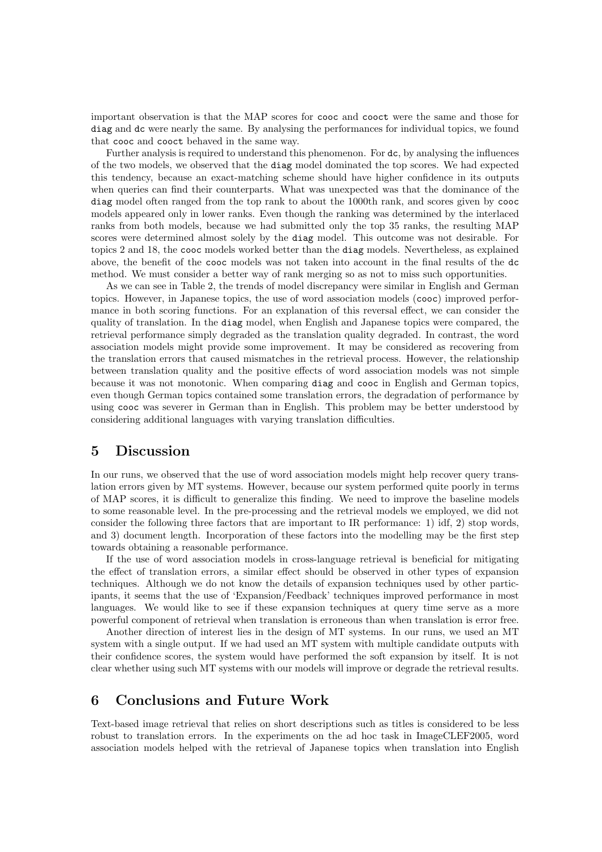important observation is that the MAP scores for cooc and cooct were the same and those for diag and dc were nearly the same. By analysing the performances for individual topics, we found that cooc and cooct behaved in the same way.

Further analysis is required to understand this phenomenon. For dc, by analysing the influences of the two models, we observed that the diag model dominated the top scores. We had expected this tendency, because an exact-matching scheme should have higher confidence in its outputs when queries can find their counterparts. What was unexpected was that the dominance of the diag model often ranged from the top rank to about the 1000th rank, and scores given by cooc models appeared only in lower ranks. Even though the ranking was determined by the interlaced ranks from both models, because we had submitted only the top 35 ranks, the resulting MAP scores were determined almost solely by the diag model. This outcome was not desirable. For topics 2 and 18, the cooc models worked better than the diag models. Nevertheless, as explained above, the benefit of the cooc models was not taken into account in the final results of the dc method. We must consider a better way of rank merging so as not to miss such opportunities.

As we can see in Table 2, the trends of model discrepancy were similar in English and German topics. However, in Japanese topics, the use of word association models (cooc) improved performance in both scoring functions. For an explanation of this reversal effect, we can consider the quality of translation. In the diag model, when English and Japanese topics were compared, the retrieval performance simply degraded as the translation quality degraded. In contrast, the word association models might provide some improvement. It may be considered as recovering from the translation errors that caused mismatches in the retrieval process. However, the relationship between translation quality and the positive effects of word association models was not simple because it was not monotonic. When comparing diag and cooc in English and German topics, even though German topics contained some translation errors, the degradation of performance by using cooc was severer in German than in English. This problem may be better understood by considering additional languages with varying translation difficulties.

# **5 Discussion**

In our runs, we observed that the use of word association models might help recover query translation errors given by MT systems. However, because our system performed quite poorly in terms of MAP scores, it is difficult to generalize this finding. We need to improve the baseline models to some reasonable level. In the pre-processing and the retrieval models we employed, we did not consider the following three factors that are important to IR performance: 1) idf, 2) stop words, and 3) document length. Incorporation of these factors into the modelling may be the first step towards obtaining a reasonable performance.

If the use of word association models in cross-language retrieval is beneficial for mitigating the effect of translation errors, a similar effect should be observed in other types of expansion techniques. Although we do not know the details of expansion techniques used by other participants, it seems that the use of 'Expansion/Feedback' techniques improved performance in most languages. We would like to see if these expansion techniques at query time serve as a more powerful component of retrieval when translation is erroneous than when translation is error free.

Another direction of interest lies in the design of MT systems. In our runs, we used an MT system with a single output. If we had used an MT system with multiple candidate outputs with their confidence scores, the system would have performed the soft expansion by itself. It is not clear whether using such MT systems with our models will improve or degrade the retrieval results.

# **6 Conclusions and Future Work**

Text-based image retrieval that relies on short descriptions such as titles is considered to be less robust to translation errors. In the experiments on the ad hoc task in ImageCLEF2005, word association models helped with the retrieval of Japanese topics when translation into English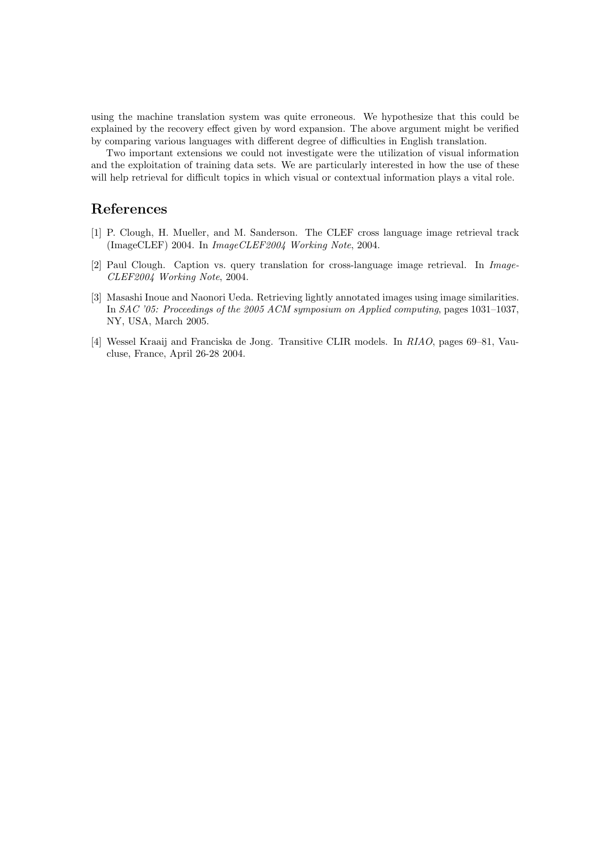using the machine translation system was quite erroneous. We hypothesize that this could be explained by the recovery effect given by word expansion. The above argument might be verified by comparing various languages with different degree of difficulties in English translation.

Two important extensions we could not investigate were the utilization of visual information and the exploitation of training data sets. We are particularly interested in how the use of these will help retrieval for difficult topics in which visual or contextual information plays a vital role.

# **References**

- [1] P. Clough, H. Mueller, and M. Sanderson. The CLEF cross language image retrieval track (ImageCLEF) 2004. In *ImageCLEF2004 Working Note*, 2004.
- [2] Paul Clough. Caption vs. query translation for cross-language image retrieval. In *Image-CLEF2004 Working Note*, 2004.
- [3] Masashi Inoue and Naonori Ueda. Retrieving lightly annotated images using image similarities. In *SAC '05: Proceedings of the 2005 ACM symposium on Applied computing*, pages 1031–1037, NY, USA, March 2005.
- [4] Wessel Kraaij and Franciska de Jong. Transitive CLIR models. In *RIAO*, pages 69–81, Vaucluse, France, April 26-28 2004.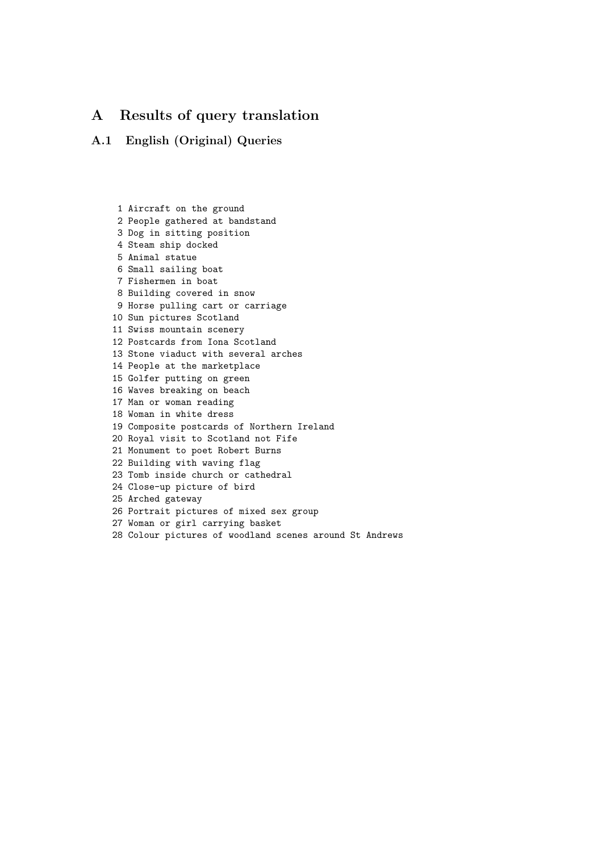# **A Results of query translation**

### **A.1 English (Original) Queries**

1 Aircraft on the ground 2 People gathered at bandstand 3 Dog in sitting position 4 Steam ship docked 5 Animal statue 6 Small sailing boat 7 Fishermen in boat 8 Building covered in snow 9 Horse pulling cart or carriage 10 Sun pictures Scotland 11 Swiss mountain scenery 12 Postcards from Iona Scotland 13 Stone viaduct with several arches 14 People at the marketplace 15 Golfer putting on green 16 Waves breaking on beach 17 Man or woman reading 18 Woman in white dress 19 Composite postcards of Northern Ireland 20 Royal visit to Scotland not Fife 21 Monument to poet Robert Burns 22 Building with waving flag 23 Tomb inside church or cathedral 24 Close-up picture of bird 25 Arched gateway 26 Portrait pictures of mixed sex group 27 Woman or girl carrying basket 28 Colour pictures of woodland scenes around St Andrews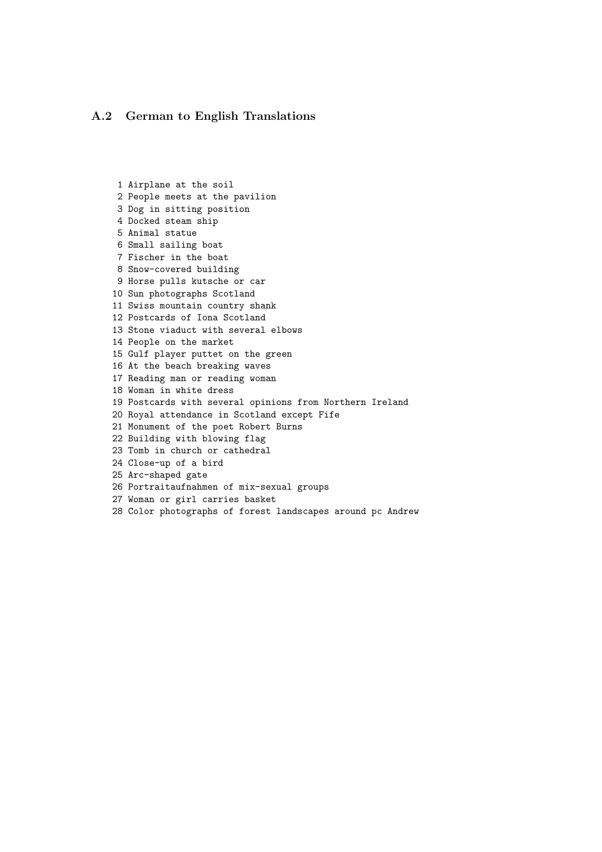#### **A.2 German to English Translations**

1 Airplane at the soil 2 People meets at the pavilion 3 Dog in sitting position 4 Docked steam ship 5 Animal statue 6 Small sailing boat 7 Fischer in the boat 8 Snow-covered building 9 Horse pulls kutsche or car 10 Sun photographs Scotland 11 Swiss mountain country shank 12 Postcards of Iona Scotland 13 Stone viaduct with several elbows 14 People on the market 15 Gulf player puttet on the green 16 At the beach breaking waves 17 Reading man or reading woman 18 Woman in white dress 19 Postcards with several opinions from Northern Ireland 20 Royal attendance in Scotland except Fife 21 Monument of the poet Robert Burns 22 Building with blowing flag 23 Tomb in church or cathedral 24 Close-up of a bird 25 Arc-shaped gate 26 Portraitaufnahmen of mix-sexual groups 27 Woman or girl carries basket 28 Color photographs of forest landscapes around pc Andrew